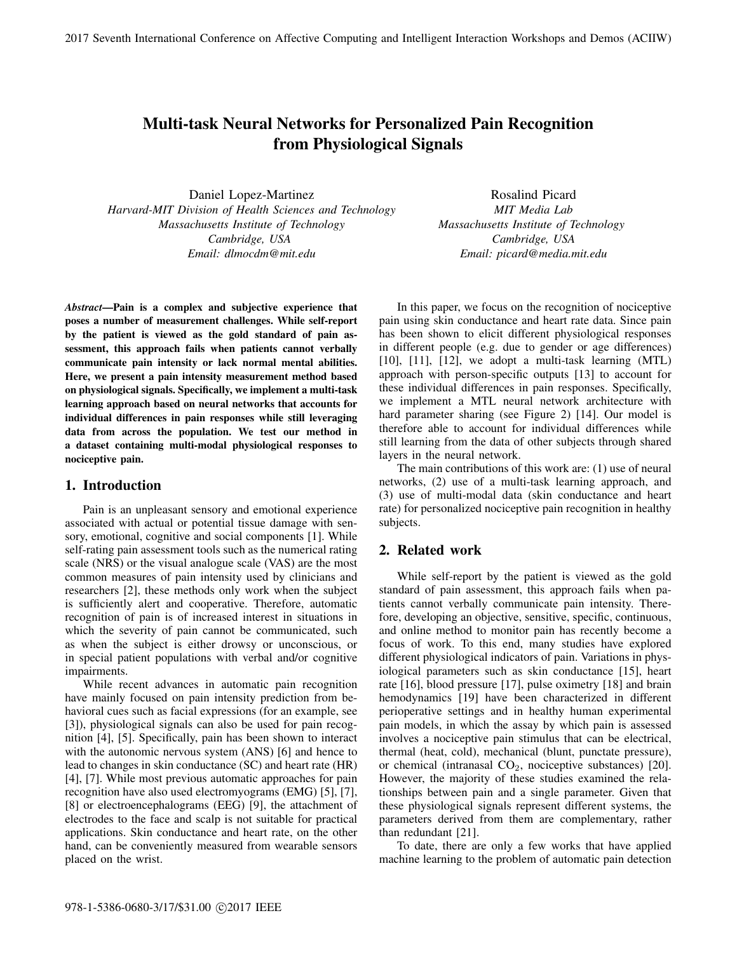# Multi-task Neural Networks for Personalized Pain Recognition from Physiological Signals

Daniel Lopez-Martinez *Harvard-MIT Division of Health Sciences and Technology Massachusetts Institute of Technology Cambridge, USA Email: dlmocdm@mit.edu*

Rosalind Picard *MIT Media Lab Massachusetts Institute of Technology Cambridge, USA Email: picard@media.mit.edu*

*Abstract*—Pain is a complex and subjective experience that poses a number of measurement challenges. While self-report by the patient is viewed as the gold standard of pain assessment, this approach fails when patients cannot verbally communicate pain intensity or lack normal mental abilities. Here, we present a pain intensity measurement method based on physiological signals. Specifically, we implement a multi-task learning approach based on neural networks that accounts for individual differences in pain responses while still leveraging data from across the population. We test our method in a dataset containing multi-modal physiological responses to nociceptive pain.

#### 1. Introduction

Pain is an unpleasant sensory and emotional experience associated with actual or potential tissue damage with sensory, emotional, cognitive and social components [1]. While self-rating pain assessment tools such as the numerical rating scale (NRS) or the visual analogue scale (VAS) are the most common measures of pain intensity used by clinicians and researchers [2], these methods only work when the subject is sufficiently alert and cooperative. Therefore, automatic recognition of pain is of increased interest in situations in which the severity of pain cannot be communicated, such as when the subject is either drowsy or unconscious, or in special patient populations with verbal and/or cognitive impairments.

While recent advances in automatic pain recognition have mainly focused on pain intensity prediction from behavioral cues such as facial expressions (for an example, see [3]), physiological signals can also be used for pain recognition [4], [5]. Specifically, pain has been shown to interact with the autonomic nervous system (ANS) [6] and hence to lead to changes in skin conductance (SC) and heart rate (HR) [4], [7]. While most previous automatic approaches for pain recognition have also used electromyograms (EMG) [5], [7], [8] or electroencephalograms (EEG) [9], the attachment of electrodes to the face and scalp is not suitable for practical applications. Skin conductance and heart rate, on the other hand, can be conveniently measured from wearable sensors placed on the wrist.

In this paper, we focus on the recognition of nociceptive pain using skin conductance and heart rate data. Since pain has been shown to elicit different physiological responses in different people (e.g. due to gender or age differences)  $[10]$ ,  $[11]$ ,  $[12]$ , we adopt a multi-task learning  $(MTL)$ approach with person-specific outputs [13] to account for these individual differences in pain responses. Specifically, we implement a MTL neural network architecture with hard parameter sharing (see Figure 2) [14]. Our model is therefore able to account for individual differences while still learning from the data of other subjects through shared layers in the neural network.

The main contributions of this work are: (1) use of neural networks, (2) use of a multi-task learning approach, and (3) use of multi-modal data (skin conductance and heart rate) for personalized nociceptive pain recognition in healthy subjects.

### 2. Related work

While self-report by the patient is viewed as the gold standard of pain assessment, this approach fails when patients cannot verbally communicate pain intensity. Therefore, developing an objective, sensitive, specific, continuous, and online method to monitor pain has recently become a focus of work. To this end, many studies have explored different physiological indicators of pain. Variations in physiological parameters such as skin conductance [15], heart rate [16], blood pressure [17], pulse oximetry [18] and brain hemodynamics [19] have been characterized in different perioperative settings and in healthy human experimental pain models, in which the assay by which pain is assessed involves a nociceptive pain stimulus that can be electrical, thermal (heat, cold), mechanical (blunt, punctate pressure), or chemical (intranasal  $CO<sub>2</sub>$ , nociceptive substances) [20]. However, the majority of these studies examined the relationships between pain and a single parameter. Given that these physiological signals represent different systems, the parameters derived from them are complementary, rather than redundant [21].

To date, there are only a few works that have applied machine learning to the problem of automatic pain detection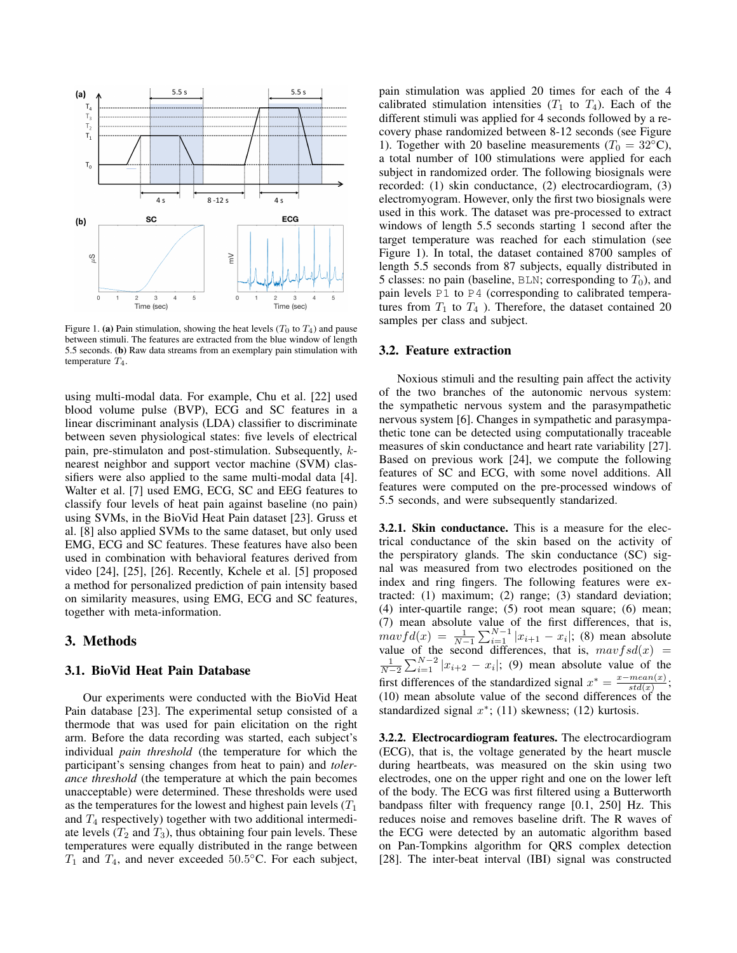

Figure 1. (a) Pain stimulation, showing the heat levels  $(T_0$  to  $T_4$ ) and pause between stimuli. The features are extracted from the blue window of length 5.5 seconds. (b) Raw data streams from an exemplary pain stimulation with temperature  $T_4$ .

using multi-modal data. For example, Chu et al. [22] used blood volume pulse (BVP), ECG and SC features in a linear discriminant analysis (LDA) classifier to discriminate between seven physiological states: five levels of electrical pain, pre-stimulaton and post-stimulation. Subsequently, knearest neighbor and support vector machine (SVM) classifiers were also applied to the same multi-modal data [4]. Walter et al. [7] used EMG, ECG, SC and EEG features to classify four levels of heat pain against baseline (no pain) using SVMs, in the BioVid Heat Pain dataset [23]. Gruss et al. [8] also applied SVMs to the same dataset, but only used EMG, ECG and SC features. These features have also been used in combination with behavioral features derived from video [24], [25], [26]. Recently, Kchele et al. [5] proposed a method for personalized prediction of pain intensity based on similarity measures, using EMG, ECG and SC features, together with meta-information.

# 3. Methods

#### 3.1. BioVid Heat Pain Database

Our experiments were conducted with the BioVid Heat Pain database [23]. The experimental setup consisted of a thermode that was used for pain elicitation on the right arm. Before the data recording was started, each subject's individual *pain threshold* (the temperature for which the participant's sensing changes from heat to pain) and *tolerance threshold* (the temperature at which the pain becomes unacceptable) were determined. These thresholds were used as the temperatures for the lowest and highest pain levels  $(T_1)$ and  $T_4$  respectively) together with two additional intermediate levels  $(T_2$  and  $T_3$ ), thus obtaining four pain levels. These temperatures were equally distributed in the range between  $T_1$  and  $T_4$ , and never exceeded 50.5°C. For each subject, pain stimulation was applied 20 times for each of the 4 calibrated stimulation intensities  $(T_1$  to  $T_4$ ). Each of the different stimuli was applied for 4 seconds followed by a recovery phase randomized between 8-12 seconds (see Figure 1). Together with 20 baseline measurements ( $T_0 = 32$ °C), a total number of 100 stimulations were applied for each subject in randomized order. The following biosignals were recorded: (1) skin conductance, (2) electrocardiogram, (3) electromyogram. However, only the first two biosignals were used in this work. The dataset was pre-processed to extract windows of length 5.5 seconds starting 1 second after the target temperature was reached for each stimulation (see Figure 1). In total, the dataset contained 8700 samples of length 5.5 seconds from 87 subjects, equally distributed in 5 classes: no pain (baseline, BLN; corresponding to  $T_0$ ), and pain levels P1 to P4 (corresponding to calibrated temperatures from  $T_1$  to  $T_4$  ). Therefore, the dataset contained 20 samples per class and subject.

### 3.2. Feature extraction

Noxious stimuli and the resulting pain affect the activity of the two branches of the autonomic nervous system: the sympathetic nervous system and the parasympathetic nervous system [6]. Changes in sympathetic and parasympathetic tone can be detected using computationally traceable measures of skin conductance and heart rate variability [27]. Based on previous work [24], we compute the following features of SC and ECG, with some novel additions. All features were computed on the pre-processed windows of 5.5 seconds, and were subsequently standarized.

3.2.1. Skin conductance. This is a measure for the electrical conductance of the skin based on the activity of the perspiratory glands. The skin conductance (SC) signal was measured from two electrodes positioned on the index and ring fingers. The following features were extracted: (1) maximum; (2) range; (3) standard deviation; (4) inter-quartile range; (5) root mean square; (6) mean; (7) mean absolute value of the first differences, that is,  $maxfd(x) = \frac{1}{N-1}\sum_{i=1}^{N-1} |x_{i+1} - x_i|$ ; (8) mean absolute value of the second differences, that is,  $mavfsd(x) =$  $\frac{1}{N-2}\sum_{i=1}^{N-2} |x_{i+2} - x_i|$ ; (9) mean absolute value of the first differences of the standardized signal  $x^* = \frac{x - mean(x)}{std(x)}$  $\frac{mean(x)}{std(x)}$ ; (10) mean absolute value of the second differences of the standardized signal  $x^*$ ; (11) skewness; (12) kurtosis.

3.2.2. Electrocardiogram features. The electrocardiogram (ECG), that is, the voltage generated by the heart muscle during heartbeats, was measured on the skin using two electrodes, one on the upper right and one on the lower left of the body. The ECG was first filtered using a Butterworth bandpass filter with frequency range [0.1, 250] Hz. This reduces noise and removes baseline drift. The R waves of the ECG were detected by an automatic algorithm based on Pan-Tompkins algorithm for QRS complex detection [28]. The inter-beat interval (IBI) signal was constructed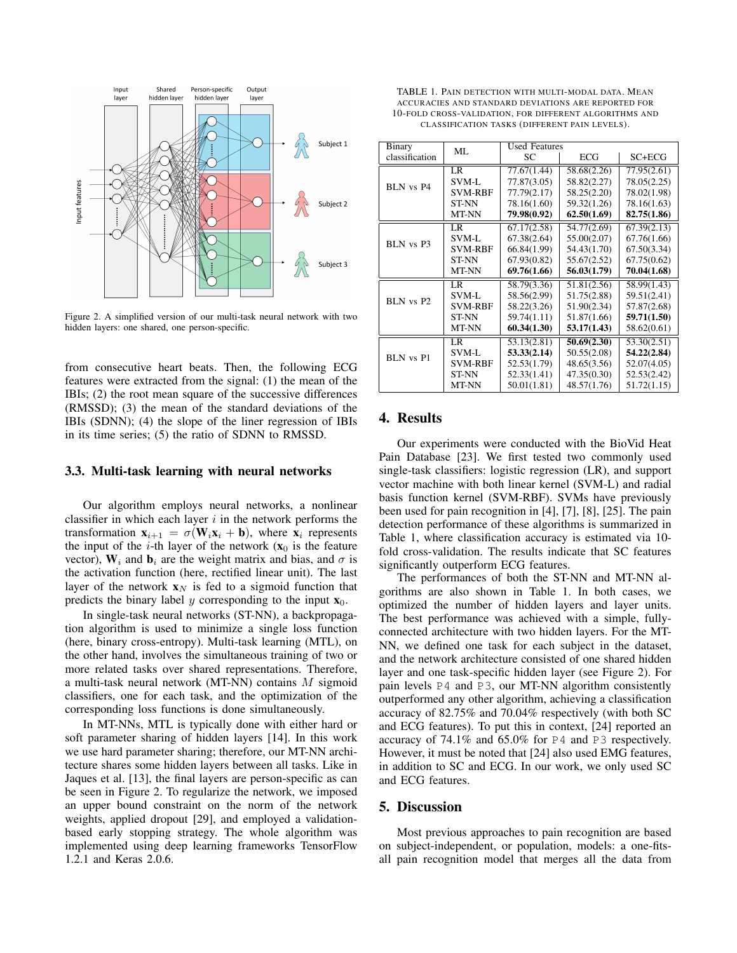

Figure 2. A simplified version of our multi-task neural network with two hidden layers: one shared, one person-specific.

from consecutive heart beats. Then, the following ECG features were extracted from the signal: (1) the mean of the IBIs; (2) the root mean square of the successive differences (RMSSD); (3) the mean of the standard deviations of the IBIs (SDNN); (4) the slope of the liner regression of IBIs in its time series; (5) the ratio of SDNN to RMSSD.

#### 3.3. Multi-task learning with neural networks

Our algorithm employs neural networks, a nonlinear classifier in which each layer  $i$  in the network performs the transformation  $\mathbf{x}_{i+1} = \sigma(\mathbf{W}_i \mathbf{x}_i + \mathbf{b})$ , where  $\mathbf{x}_i$  represents the input of the *i*-th layer of the network  $(x_0)$  is the feature vector),  $W_i$  and  $b_i$  are the weight matrix and bias, and  $\sigma$  is the activation function (here, rectified linear unit). The last layer of the network  $x_N$  is fed to a sigmoid function that predicts the binary label y corresponding to the input  $x_0$ .

In single-task neural networks (ST-NN), a backpropagation algorithm is used to minimize a single loss function (here, binary cross-entropy). Multi-task learning (MTL), on the other hand, involves the simultaneous training of two or more related tasks over shared representations. Therefore, a multi-task neural network (MT-NN) contains M sigmoid classifiers, one for each task, and the optimization of the corresponding loss functions is done simultaneously.

In MT-NNs, MTL is typically done with either hard or soft parameter sharing of hidden layers [14]. In this work we use hard parameter sharing; therefore, our MT-NN architecture shares some hidden layers between all tasks. Like in Jaques et al. [13], the final layers are person-specific as can be seen in Figure 2. To regularize the network, we imposed an upper bound constraint on the norm of the network weights, applied dropout [29], and employed a validationbased early stopping strategy. The whole algorithm was implemented using deep learning frameworks TensorFlow 1.2.1 and Keras 2.0.6.

TABLE 1. PAIN DETECTION WITH MULTI-MODAL DATA. MEAN ACCURACIES AND STANDARD DEVIATIONS ARE REPORTED FOR 10-FOLD CROSS-VALIDATION, FOR DIFFERENT ALGORITHMS AND CLASSIFICATION TASKS (DIFFERENT PAIN LEVELS).

| Binary           | ML             | <b>Used Features</b> |             |             |
|------------------|----------------|----------------------|-------------|-------------|
| classification   |                | SС                   | ECG         | SC+ECG      |
| BLN vs P4        | LR             | 77.67(1.44)          | 58.68(2.26) | 77.95(2.61) |
|                  | SVM-L          | 77.87(3.05)          | 58.82(2.27) | 78.05(2.25) |
|                  | <b>SVM-RBF</b> | 77.79(2.17)          | 58.25(2.20) | 78.02(1.98) |
|                  | ST-NN          | 78.16(1.60)          | 59.32(1.26) | 78.16(1.63) |
|                  | MT-NN          | 79.98(0.92)          | 62.50(1.69) | 82.75(1.86) |
| BLN vs P3        | LR             | 67.17(2.58)          | 54.77(2.69) | 67.39(2.13) |
|                  | SVM-L          | 67.38(2.64)          | 55.00(2.07) | 67.76(1.66) |
|                  | <b>SVM-RBF</b> | 66.84(1.99)          | 54.43(1.70) | 67.50(3.34) |
|                  | <b>ST-NN</b>   | 67.93(0.82)          | 55.67(2.52) | 67.75(0.62) |
|                  | MT-NN          | 69.76(1.66)          | 56.03(1.79) | 70.04(1.68) |
| BLN vs P2        | LR.            | 58.79(3.36)          | 51.81(2.56) | 58.99(1.43) |
|                  | SVM-L          | 58.56(2.99)          | 51.75(2.88) | 59.51(2.41) |
|                  | <b>SVM-RBF</b> | 58.22(3.26)          | 51.90(2.34) | 57.87(2.68) |
|                  | <b>ST-NN</b>   | 59.74(1.11)          | 51.87(1.66) | 59.71(1.50) |
|                  | MT-NN          | 60.34(1.30)          | 53.17(1.43) | 58.62(0.61) |
| <b>BLN</b> vs P1 | LR.            | 53.13(2.81)          | 50.69(2.30) | 53.30(2.51) |
|                  | SVM-L          | 53.33(2.14)          | 50.55(2.08) | 54.22(2.84) |
|                  | <b>SVM-RBF</b> | 52.53(1.79)          | 48.65(3.56) | 52.07(4.05) |
|                  | ST-NN          | 52.33(1.41)          | 47.35(0.30) | 52.53(2.42) |
|                  | MT-NN          | 50.01(1.81)          | 48.57(1.76) | 51.72(1.15) |

#### 4. Results

Our experiments were conducted with the BioVid Heat Pain Database [23]. We first tested two commonly used single-task classifiers: logistic regression (LR), and support vector machine with both linear kernel (SVM-L) and radial basis function kernel (SVM-RBF). SVMs have previously been used for pain recognition in [4], [7], [8], [25]. The pain detection performance of these algorithms is summarized in Table 1, where classification accuracy is estimated via 10 fold cross-validation. The results indicate that SC features significantly outperform ECG features.

The performances of both the ST-NN and MT-NN algorithms are also shown in Table 1. In both cases, we optimized the number of hidden layers and layer units. The best performance was achieved with a simple, fullyconnected architecture with two hidden layers. For the MT-NN, we defined one task for each subject in the dataset, and the network architecture consisted of one shared hidden layer and one task-specific hidden layer (see Figure 2). For pain levels P4 and P3, our MT-NN algorithm consistently outperformed any other algorithm, achieving a classification accuracy of 82.75% and 70.04% respectively (with both SC and ECG features). To put this in context, [24] reported an accuracy of 74.1% and 65.0% for P4 and P3 respectively. However, it must be noted that [24] also used EMG features, in addition to SC and ECG. In our work, we only used SC and ECG features.

# 5. Discussion

Most previous approaches to pain recognition are based on subject-independent, or population, models: a one-fitsall pain recognition model that merges all the data from